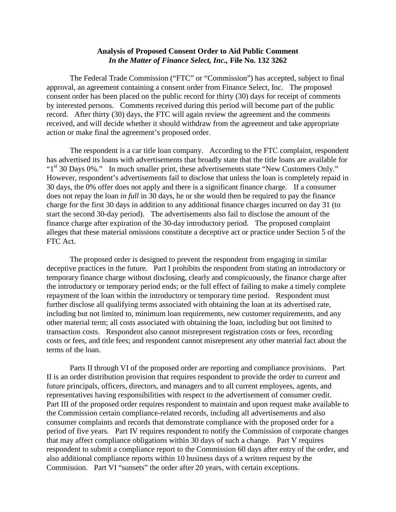## **Analysis of Proposed Consent Order to Aid Public Comment** *In the Matter of Finance Select, Inc.,* **File No. 132 3262**

The Federal Trade Commission ("FTC" or "Commission") has accepted, subject to final approval, an agreement containing a consent order from Finance Select, Inc. The proposed consent order has been placed on the public record for thirty (30) days for receipt of comments by interested persons. Comments received during this period will become part of the public record. After thirty (30) days, the FTC will again review the agreement and the comments received, and will decide whether it should withdraw from the agreement and take appropriate action or make final the agreement's proposed order.

The respondent is a car title loan company. According to the FTC complaint, respondent has advertised its loans with advertisements that broadly state that the title loans are available for " $1<sup>st</sup>$  30 Days 0%." In much smaller print, these advertisements state "New Customers Only." However, respondent's advertisements fail to disclose that unless the loan is completely repaid in 30 days, the 0% offer does not apply and there is a significant finance charge. If a consumer does not repay the loan *in full* in 30 days, he or she would then be required to pay the finance charge for the first 30 days in addition to any additional finance charges incurred on day 31 (to start the second 30-day period). The advertisements also fail to disclose the amount of the finance charge after expiration of the 30-day introductory period. The proposed complaint alleges that these material omissions constitute a deceptive act or practice under Section 5 of the FTC Act.

The proposed order is designed to prevent the respondent from engaging in similar deceptive practices in the future. Part I prohibits the respondent from stating an introductory or temporary finance charge without disclosing, clearly and conspicuously, the finance charge after the introductory or temporary period ends; or the full effect of failing to make a timely complete repayment of the loan within the introductory or temporary time period. Respondent must further disclose all qualifying terms associated with obtaining the loan at its advertised rate, including but not limited to, minimum loan requirements, new customer requirements, and any other material term; all costs associated with obtaining the loan, including but not limited to transaction costs. Respondent also cannot misrepresent registration costs or fees, recording costs or fees, and title fees; and respondent cannot misrepresent any other material fact about the terms of the loan.

Parts II through VI of the proposed order are reporting and compliance provisions. Part II is an order distribution provision that requires respondent to provide the order to current and future principals, officers, directors, and managers and to all current employees, agents, and representatives having responsibilities with respect to the advertisement of consumer credit. Part III of the proposed order requires respondent to maintain and upon request make available to the Commission certain compliance-related records, including all advertisements and also consumer complaints and records that demonstrate compliance with the proposed order for a period of five years. Part IV requires respondent to notify the Commission of corporate changes that may affect compliance obligations within 30 days of such a change. Part V requires respondent to submit a compliance report to the Commission 60 days after entry of the order, and also additional compliance reports within 10 business days of a written request by the Commission. Part VI "sunsets" the order after 20 years, with certain exceptions.